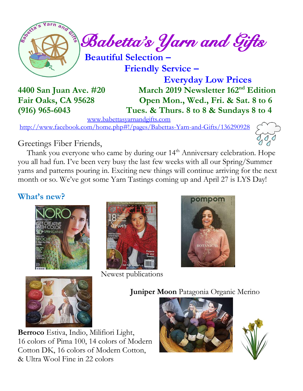

 **Friendly Service –**

 **Everyday Low Prices 4400 San Juan Ave. #20 March 2019 Newsletter 162 nd Edition Fair Oaks, CA 95628 Open Mon., Wed., Fri. & Sat. 8 to 6 (916) 965-6043 Tues. & Thurs. 8 to 8 & Sundays 8 to 4**

[www.babettasyarnandgifts.com](http://www.babettasyarnandgifts.com/)

<http://www.facebook.com/home.php#!/pages/Babettas-Yarn-and-Gifts/136290928>



## Greetings Fiber Friends,

Thank you everyone who came by during our 14<sup>th</sup> Anniversary celebration. Hope you all had fun. I've been very busy the last few weeks with all our Spring/Summer yarns and patterns pouring in. Exciting new things will continue arriving for the next month or so. We've got some Yarn Tastings coming up and April 27 is LYS Day!

## **What's new?**





Newest publications





**Juniper Moon** Patagonia Organic Merino





**Berroco** Estiva, Indio, Milifiori Light, 16 colors of Pima 100, 14 colors of Modern Cotton DK, 16 colors of Modern Cotton, & Ultra Wool Fine in 22 colors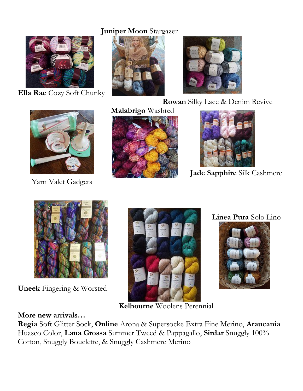### **Juniper Moon** Stargazer



**Ella Rae** Cozy Soft Chunky





**Rowan** Silky Lace & Denim Revive



Yarn Valet Gadgets





**Jade Sapphire** Silk Cashmere



**Uneek** Fingering & Worsted



**Linea Pura** Solo Lino



**Kelbourne** Woolens Perennial

### **More new arrivals…**

**Regia** Soft Glitter Sock, **Online** Arona & Supersocke Extra Fine Merino, **Araucania**  Huasco Color, **Lana Grossa** Summer Tweed & Pappagallo, **Sirdar** Snuggly 100% Cotton, Snuggly Bouclette, & Snuggly Cashmere Merino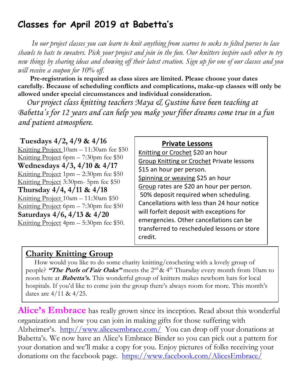# **Classes for April 2019 at Babetta's**

 *In our project classes you can learn to knit anything from scarves to socks to felted purses to lace shawls to hats to sweaters. Pick your project and join in the fun. Our knitters inspire each other to try new things by sharing ideas and showing off their latest creation. Sign up for one of our classes and you will receive a coupon for 10% off.*

 **Pre-registration is required as class sizes are limited. Please choose your dates carefully. Because of scheduling conflicts and complications, make-up classes will only be allowed under special circumstances and individual consideration.**

*Our project class knitting teachers Maya & Gustine have been teaching at Babetta's for 12 years and can help you make your fiber dreams come true in a fun and patient atmosphere.*

**Tuesdays 4/2, 4/9 & 4/16** Knitting Project 10am – 11:30am fee \$50 Knitting Project 6pm – 7:30pm fee \$50 **Wednesdays 4/3, 4/10 & 4/17** Knitting Project  $1pm - 2:30pm$  fee \$50 Knitting Project 3:30pm- 5pm fee \$50 **Thursday 4/4, 4/11 & 4/18** Knitting Project 10am – 11:30am \$50 Knitting Project 6pm – 7:30pm fee \$50 **Saturdays 4/6, 4/13 & 4/20** Knitting Project 4pm – 5:30pm fee \$50.

#### **Private Lessons**

Knitting or Crochet \$20 an hour Group Knitting or Crochet Private lessons \$15 an hour per person. Spinning or weaving \$25 an hour Group rates are \$20 an hour per person. 50% deposit required when scheduling. Cancellations with less than 24 hour notice will forfeit deposit with exceptions for emergencies. Other cancellations can be transferred to rescheduled lessons or store credit.

### **Charity Knitting Group**

 How would you like to do some charity knitting/crocheting with a lovely group of people? **"The Purls of Fair Oaks"** meets the 2<sup>nd</sup> & 4<sup>th</sup> Thursday every month from 10am to noon here at **Babetta's.** This wonderful group of knitters makes newborn hats for local hospitals. If you'd like to come join the group there's always room for more. This month's dates are 4/11 & 4/25.

**Alice's Embrace** has really grown since its inception. Read about this wonderful organization and how you can join in making gifts for those suffering with Alzheimer's. <http://www.alicesembrace.com/>You can drop off your donations at Babetta's. We now have an Alice's Embrace Binder so you can pick out a pattern for your donation and we'll make a copy for you. Enjoy pictures of folks receiving your donations on the facebook page. <https://www.facebook.com/AlicesEmbrace/>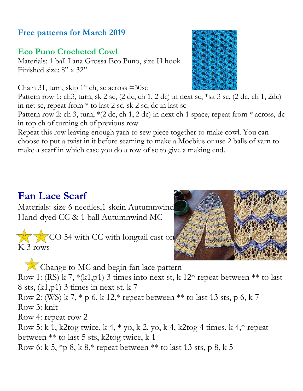## **Free patterns for March 2019**

## **Eco Puno Crocheted Cowl**

Materials: 1 ball Lana Grossa Eco Puno, size H hook Finished size: 8" x 32"

Chain 31, turn, skip  $1<sup>st</sup>$  ch, sc across  $=30$ sc

Pattern row 1: ch3, turn, sk 2 sc, (2 dc, ch 1, 2 dc) in next sc, \*sk 3 sc, (2 dc, ch 1, 2dc) in net sc, repeat from  $*$  to last 2 sc, sk 2 sc, dc in last sc

Pattern row 2: ch 3, turn, \*(2 dc, ch 1, 2 dc) in next ch 1 space, repeat from \* across, dc in top ch of turning ch of previous row

Repeat this row leaving enough yarn to sew piece together to make cowl. You can choose to put a twist in it before seaming to make a Moebius or use 2 balls of yarn to make a scarf in which case you do a row of sc to give a making end.

# **Fan Lace Scarf**

Materials: size 6 needles,1 skein Autumnwind Hand-dyed CC & 1 ball Autumnwind MC

CO 54 with CC with longtail cast on K 3 rows

Change to MC and begin fan lace pattern Row 1: (RS) k 7,  $*(k1,p1)$  3 times into next st, k 12 $*$  repeat between  $**$  to last 8 sts, (k1,p1) 3 times in next st, k 7 Row 2: (WS) k 7,  $*$  p 6, k 12, $*$  repeat between  $**$  to last 13 sts, p 6, k 7 Row 3: knit Row 4: repeat row 2

Row 5: k 1, k2tog twice, k 4, \* yo, k 2, yo, k 4, k2tog 4 times, k 4,\* repeat between \*\* to last 5 sts, k2tog twice, k 1

Row 6: k 5,  $\ast p$  8, k 8, $\ast$  repeat between  $\ast\ast$  to last 13 sts, p 8, k 5